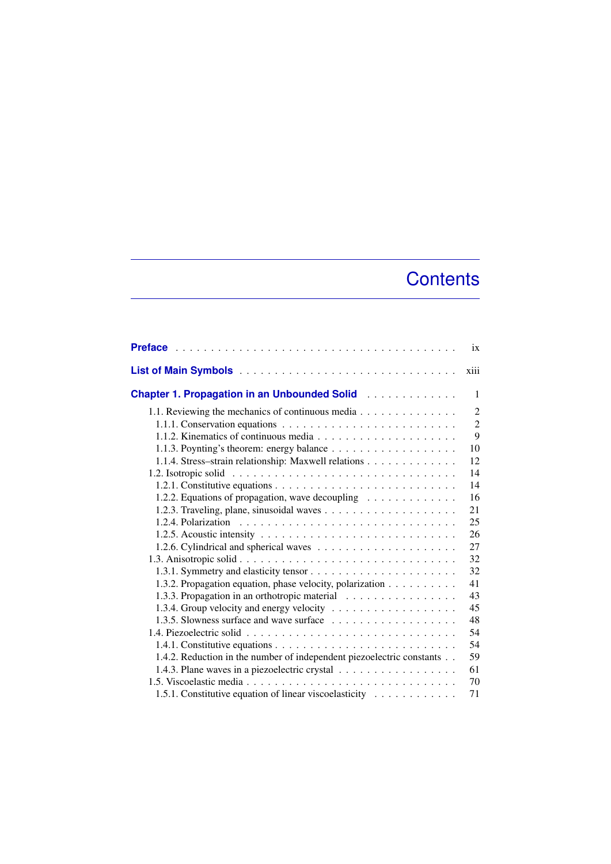## **Contents**

|                                                                                                                  | ix             |
|------------------------------------------------------------------------------------------------------------------|----------------|
|                                                                                                                  | xiii           |
| <b>Chapter 1. Propagation in an Unbounded Solid Following Lines Chapter 1. Propagation in an Unbounded Solid</b> | 1              |
| 1.1. Reviewing the mechanics of continuous media                                                                 | 2              |
|                                                                                                                  | $\overline{2}$ |
|                                                                                                                  | 9              |
|                                                                                                                  | 10             |
| 1.1.4. Stress-strain relationship: Maxwell relations                                                             | 12             |
|                                                                                                                  | 14             |
|                                                                                                                  | 14             |
| 1.2.2. Equations of propagation, wave decoupling                                                                 | 16             |
|                                                                                                                  | 21             |
|                                                                                                                  | 25             |
|                                                                                                                  | 26             |
|                                                                                                                  | 27             |
|                                                                                                                  | 32             |
|                                                                                                                  | 32             |
| 1.3.2. Propagation equation, phase velocity, polarization                                                        | 41             |
| 1.3.3. Propagation in an orthotropic material                                                                    | 43             |
|                                                                                                                  | 45             |
| 1.3.5. Slowness surface and wave surface                                                                         | 48             |
|                                                                                                                  | 54             |
| 1.4.1. Constitutive equations $\ldots \ldots \ldots \ldots \ldots \ldots \ldots \ldots \ldots$                   | 54             |
| 1.4.2. Reduction in the number of independent piezoelectric constants                                            | 59             |
| 1.4.3. Plane waves in a piezoelectric crystal                                                                    | 61             |
|                                                                                                                  | 70             |
| 1.5.1. Constitutive equation of linear viscoelasticity                                                           | 71             |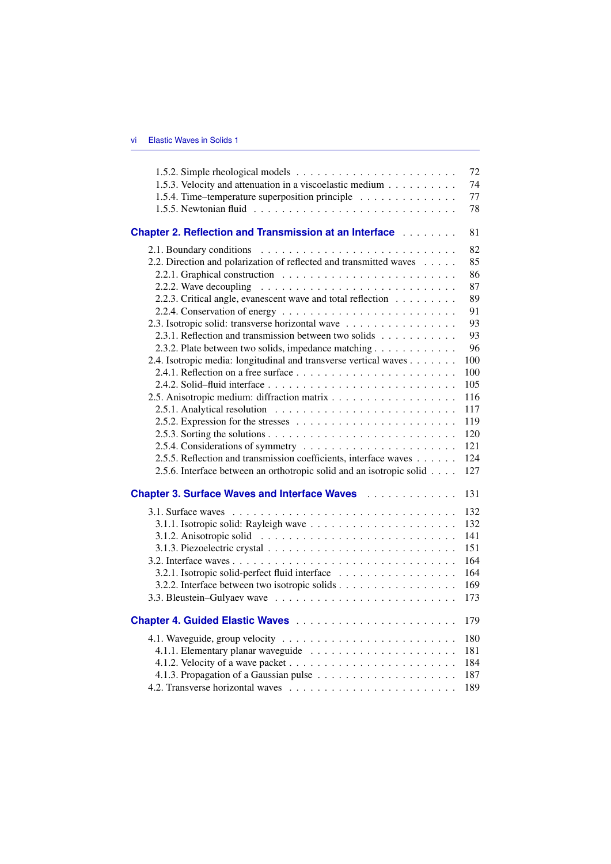|                                                                                  | 72  |
|----------------------------------------------------------------------------------|-----|
| 1.5.3. Velocity and attenuation in a viscoelastic medium                         | 74  |
| 1.5.4. Time-temperature superposition principle                                  | 77  |
|                                                                                  | 78  |
| <b>Chapter 2. Reflection and Transmission at an Interface Alexander Adducts</b>  | 81  |
|                                                                                  | 82  |
| 2.2. Direction and polarization of reflected and transmitted waves               | 85  |
|                                                                                  | 86  |
| 2.2.2. Wave decoupling $\ldots \ldots \ldots \ldots \ldots \ldots \ldots \ldots$ | 87  |
| 2.2.3. Critical angle, evanescent wave and total reflection                      | 89  |
|                                                                                  | 91  |
| 2.3. Isotropic solid: transverse horizontal wave                                 | 93  |
| 2.3.1. Reflection and transmission between two solids                            | 93  |
| 2.3.2. Plate between two solids, impedance matching                              | 96  |
| 2.4. Isotropic media: longitudinal and transverse vertical waves                 | 100 |
|                                                                                  | 100 |
|                                                                                  | 105 |
|                                                                                  | 116 |
|                                                                                  | 117 |
|                                                                                  | 119 |
|                                                                                  | 120 |
|                                                                                  | 121 |
| 2.5.5. Reflection and transmission coefficients, interface waves                 | 124 |
| 2.5.6. Interface between an orthotropic solid and an isotropic solid             | 127 |
| Chapter 3. Surface Waves and Interface Waves                                     | 131 |
|                                                                                  | 132 |
|                                                                                  | 132 |
|                                                                                  | 141 |
|                                                                                  | 151 |
|                                                                                  | 164 |
| 3.2.1. Isotropic solid-perfect fluid interface                                   | 164 |
| 3.2.2. Interface between two isotropic solids                                    | 169 |
|                                                                                  | 173 |
|                                                                                  | 179 |
|                                                                                  | 180 |
|                                                                                  | 181 |
|                                                                                  | 184 |
|                                                                                  | 187 |
|                                                                                  | 189 |